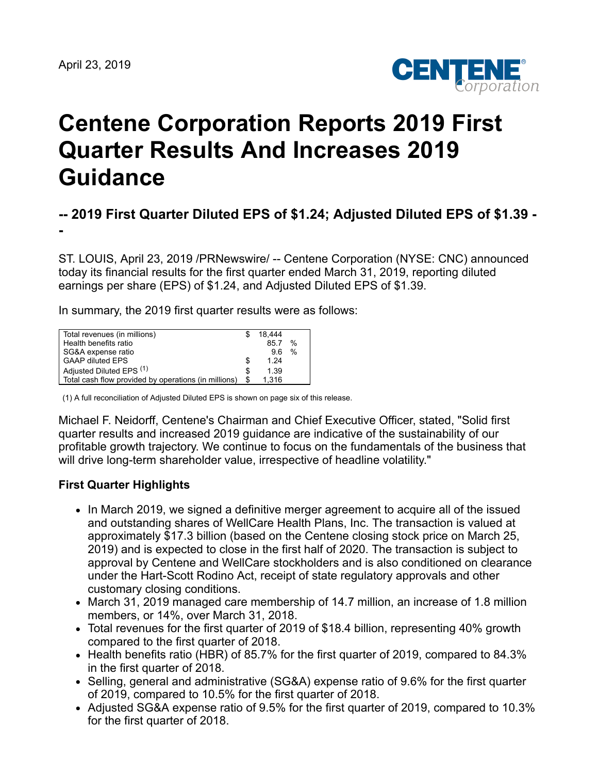**-**



# **Centene Corporation Reports 2019 First Quarter Results And Increases 2019 Guidance**

# **-- 2019 First Quarter Diluted EPS of \$1.24; Adjusted Diluted EPS of \$1.39 -**

ST. LOUIS, April 23, 2019 /PRNewswire/ -- Centene Corporation (NYSE: CNC) announced today its financial results for the first quarter ended March 31, 2019, reporting diluted earnings per share (EPS) of \$1.24, and Adjusted Diluted EPS of \$1.39.

In summary, the 2019 first quarter results were as follows:

| 857           | $\%$                    |  |
|---------------|-------------------------|--|
| 96            | $\%$                    |  |
| 1 24          |                         |  |
|               |                         |  |
|               |                         |  |
| S<br>\$<br>\$ | 18.444<br>1.39<br>1.316 |  |

(1) A full reconciliation of Adjusted Diluted EPS is shown on page six of this release.

Michael F. Neidorff, Centene's Chairman and Chief Executive Officer, stated, "Solid first quarter results and increased 2019 guidance are indicative of the sustainability of our profitable growth trajectory. We continue to focus on the fundamentals of the business that will drive long-term shareholder value, irrespective of headline volatility."

# **First Quarter Highlights**

- In March 2019, we signed a definitive merger agreement to acquire all of the issued and outstanding shares of WellCare Health Plans, Inc. The transaction is valued at approximately \$17.3 billion (based on the Centene closing stock price on March 25, 2019) and is expected to close in the first half of 2020. The transaction is subject to approval by Centene and WellCare stockholders and is also conditioned on clearance under the Hart-Scott Rodino Act, receipt of state regulatory approvals and other customary closing conditions.
- March 31, 2019 managed care membership of 14.7 million, an increase of 1.8 million members, or 14%, over March 31, 2018.
- Total revenues for the first quarter of 2019 of \$18.4 billion, representing 40% growth compared to the first quarter of 2018.
- Health benefits ratio (HBR) of 85.7% for the first quarter of 2019, compared to 84.3% in the first quarter of 2018.
- Selling, general and administrative (SG&A) expense ratio of 9.6% for the first quarter of 2019, compared to 10.5% for the first quarter of 2018.
- Adjusted SG&A expense ratio of 9.5% for the first quarter of 2019, compared to 10.3% for the first quarter of 2018.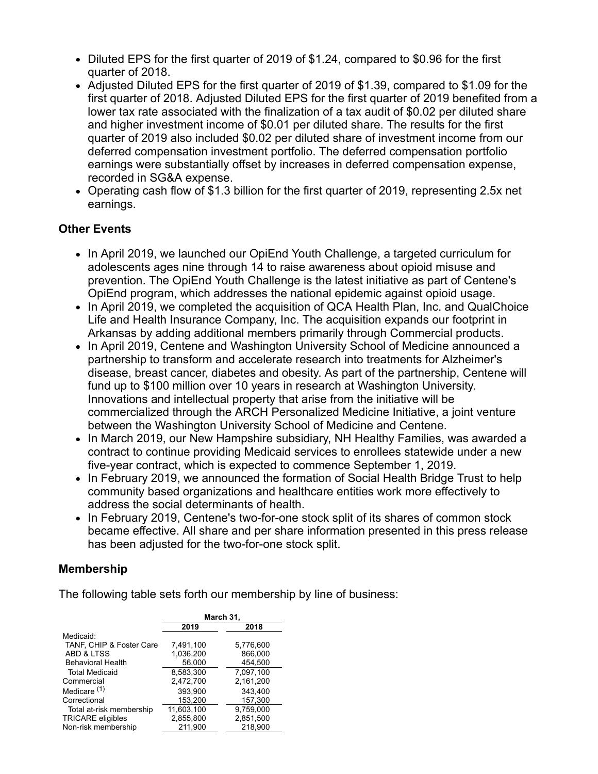- Diluted EPS for the first quarter of 2019 of \$1.24, compared to \$0.96 for the first quarter of 2018.
- Adjusted Diluted EPS for the first quarter of 2019 of \$1.39, compared to \$1.09 for the first quarter of 2018. Adjusted Diluted EPS for the first quarter of 2019 benefited from a lower tax rate associated with the finalization of a tax audit of \$0.02 per diluted share and higher investment income of \$0.01 per diluted share. The results for the first quarter of 2019 also included \$0.02 per diluted share of investment income from our deferred compensation investment portfolio. The deferred compensation portfolio earnings were substantially offset by increases in deferred compensation expense, recorded in SG&A expense.
- Operating cash flow of \$1.3 billion for the first quarter of 2019, representing 2.5x net earnings.

## **Other Events**

- In April 2019, we launched our OpiEnd Youth Challenge, a targeted curriculum for adolescents ages nine through 14 to raise awareness about opioid misuse and prevention. The OpiEnd Youth Challenge is the latest initiative as part of Centene's OpiEnd program, which addresses the national epidemic against opioid usage.
- In April 2019, we completed the acquisition of QCA Health Plan, Inc. and QualChoice Life and Health Insurance Company, Inc. The acquisition expands our footprint in Arkansas by adding additional members primarily through Commercial products.
- In April 2019, Centene and Washington University School of Medicine announced a partnership to transform and accelerate research into treatments for Alzheimer's disease, breast cancer, diabetes and obesity. As part of the partnership, Centene will fund up to \$100 million over 10 years in research at Washington University. Innovations and intellectual property that arise from the initiative will be commercialized through the ARCH Personalized Medicine Initiative, a joint venture between the Washington University School of Medicine and Centene.
- In March 2019, our New Hampshire subsidiary, NH Healthy Families, was awarded a contract to continue providing Medicaid services to enrollees statewide under a new five-year contract, which is expected to commence September 1, 2019.
- In February 2019, we announced the formation of Social Health Bridge Trust to help community based organizations and healthcare entities work more effectively to address the social determinants of health.
- In February 2019, Centene's two-for-one stock split of its shares of common stock became effective. All share and per share information presented in this press release has been adjusted for the two-for-one stock split.

# **Membership**

The following table sets forth our membership by line of business:

|                          | March 31,  |           |  |  |
|--------------------------|------------|-----------|--|--|
|                          | 2019       | 2018      |  |  |
| Medicaid:                |            |           |  |  |
| TANF, CHIP & Foster Care | 7.491.100  | 5,776,600 |  |  |
| ABD & LTSS               | 1,036,200  | 866,000   |  |  |
| <b>Behavioral Health</b> | 56,000     | 454,500   |  |  |
| <b>Total Medicaid</b>    | 8.583.300  | 7.097.100 |  |  |
| Commercial               | 2,472,700  | 2,161,200 |  |  |
| Medicare <sup>(1)</sup>  | 393.900    | 343.400   |  |  |
| Correctional             | 153,200    | 157,300   |  |  |
| Total at-risk membership | 11,603,100 | 9.759.000 |  |  |
| <b>TRICARE</b> eligibles | 2,855,800  | 2,851,500 |  |  |
| Non-risk membership      | 211.900    | 218.900   |  |  |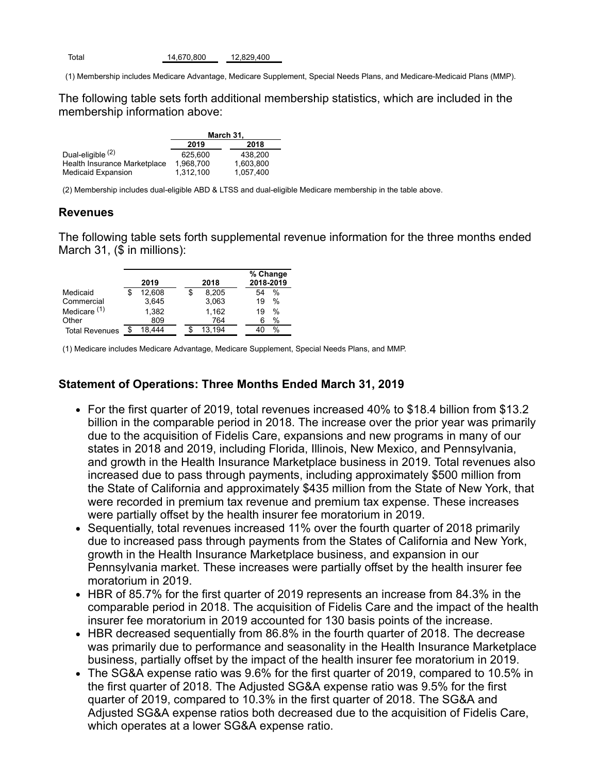(1) Membership includes Medicare Advantage, Medicare Supplement, Special Needs Plans, and Medicare-Medicaid Plans (MMP).

The following table sets forth additional membership statistics, which are included in the membership information above:

|                              | March 31, |           |  |  |
|------------------------------|-----------|-----------|--|--|
|                              | 2019      | 2018      |  |  |
| Dual-eligible $(2)$          | 625.600   | 438.200   |  |  |
| Health Insurance Marketplace | 1,968,700 | 1.603.800 |  |  |
| <b>Medicaid Expansion</b>    | 1.312.100 | 1,057,400 |  |  |

(2) Membership includes dual-eligible ABD & LTSS and dual-eligible Medicare membership in the table above.

#### **Revenues**

The following table sets forth supplemental revenue information for the three months ended March 31, (\$ in millions):

|                         | 2019   |    | 2018   | % Change<br>2018-2019 |               |
|-------------------------|--------|----|--------|-----------------------|---------------|
| Medicaid                | 12.608 | \$ | 8,205  | 54                    | $\%$          |
| Commercial              | 3,645  |    | 3,063  | 19                    | %             |
| Medicare <sup>(1)</sup> | 1,382  |    | 1.162  | 19                    | $\frac{0}{0}$ |
| Other                   | 809    |    | 764    |                       | %             |
| <b>Total Revenues</b>   | 18 444 |    | 13,194 | 40                    | $\%$          |

(1) Medicare includes Medicare Advantage, Medicare Supplement, Special Needs Plans, and MMP.

#### **Statement of Operations: Three Months Ended March 31, 2019**

- For the first quarter of 2019, total revenues increased 40% to \$18.4 billion from \$13.2 billion in the comparable period in 2018. The increase over the prior year was primarily due to the acquisition of Fidelis Care, expansions and new programs in many of our states in 2018 and 2019, including Florida, Illinois, New Mexico, and Pennsylvania, and growth in the Health Insurance Marketplace business in 2019. Total revenues also increased due to pass through payments, including approximately \$500 million from the State of California and approximately \$435 million from the State of New York, that were recorded in premium tax revenue and premium tax expense. These increases were partially offset by the health insurer fee moratorium in 2019.
- Sequentially, total revenues increased 11% over the fourth quarter of 2018 primarily due to increased pass through payments from the States of California and New York, growth in the Health Insurance Marketplace business, and expansion in our Pennsylvania market. These increases were partially offset by the health insurer fee moratorium in 2019.
- HBR of 85.7% for the first quarter of 2019 represents an increase from 84.3% in the comparable period in 2018. The acquisition of Fidelis Care and the impact of the health insurer fee moratorium in 2019 accounted for 130 basis points of the increase.
- HBR decreased sequentially from 86.8% in the fourth quarter of 2018. The decrease was primarily due to performance and seasonality in the Health Insurance Marketplace business, partially offset by the impact of the health insurer fee moratorium in 2019.
- The SG&A expense ratio was 9.6% for the first quarter of 2019, compared to 10.5% in the first quarter of 2018. The Adjusted SG&A expense ratio was 9.5% for the first quarter of 2019, compared to 10.3% in the first quarter of 2018. The SG&A and Adjusted SG&A expense ratios both decreased due to the acquisition of Fidelis Care, which operates at a lower SG&A expense ratio.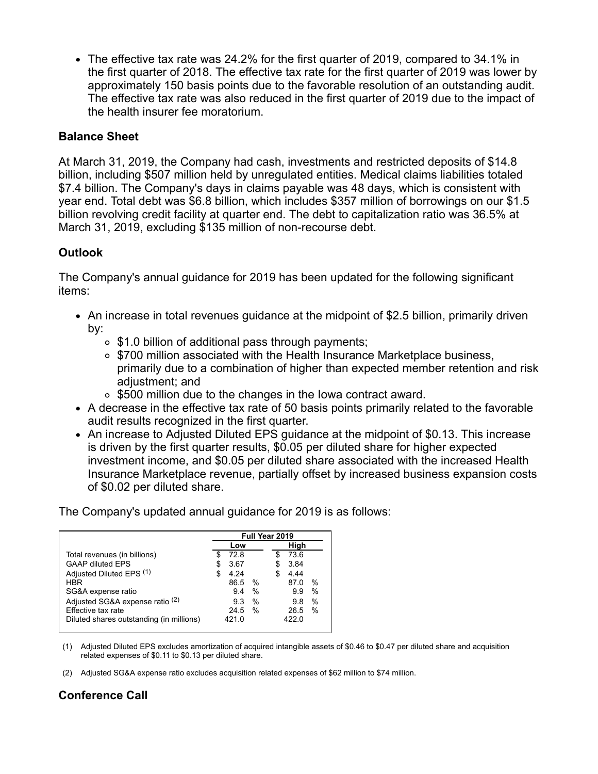The effective tax rate was 24.2% for the first quarter of 2019, compared to 34.1% in the first quarter of 2018. The effective tax rate for the first quarter of 2019 was lower by approximately 150 basis points due to the favorable resolution of an outstanding audit. The effective tax rate was also reduced in the first quarter of 2019 due to the impact of the health insurer fee moratorium.

# **Balance Sheet**

At March 31, 2019, the Company had cash, investments and restricted deposits of \$14.8 billion, including \$507 million held by unregulated entities. Medical claims liabilities totaled \$7.4 billion. The Company's days in claims payable was 48 days, which is consistent with year end. Total debt was \$6.8 billion, which includes \$357 million of borrowings on our \$1.5 billion revolving credit facility at quarter end. The debt to capitalization ratio was 36.5% at March 31, 2019, excluding \$135 million of non-recourse debt.

# **Outlook**

The Company's annual guidance for 2019 has been updated for the following significant items:

- An increase in total revenues guidance at the midpoint of \$2.5 billion, primarily driven by:
	- $\circ$  \$1.0 billion of additional pass through payments;
	- \$700 million associated with the Health Insurance Marketplace business, primarily due to a combination of higher than expected member retention and risk adjustment; and
	- \$500 million due to the changes in the Iowa contract award.
- A decrease in the effective tax rate of 50 basis points primarily related to the favorable audit results recognized in the first quarter.
- An increase to Adjusted Diluted EPS guidance at the midpoint of \$0.13. This increase is driven by the first quarter results, \$0.05 per diluted share for higher expected investment income, and \$0.05 per diluted share associated with the increased Health Insurance Marketplace revenue, partially offset by increased business expansion costs of \$0.02 per diluted share.

The Company's updated annual guidance for 2019 is as follows:

| Full Year 2019 |               |   |      |       |
|----------------|---------------|---|------|-------|
| Low            |               |   | High |       |
| 72.8           |               | S | 73.6 |       |
| 3.67           |               |   | 3.84 |       |
| 4.24           |               | S | 4.44 |       |
| 86.5           | $\%$          |   | 87.0 | $\%$  |
| 9.4            | %             |   | 9.9  | $\%$  |
| 9.3            | $\%$          |   | 9.8  | $\%$  |
| 24.5           | $\frac{0}{0}$ |   | 26.5 | $\%$  |
|                |               |   |      |       |
|                | 421.0         |   |      | 422.0 |

(1) Adjusted Diluted EPS excludes amortization of acquired intangible assets of \$0.46 to \$0.47 per diluted share and acquisition related expenses of \$0.11 to \$0.13 per diluted share.

(2) Adjusted SG&A expense ratio excludes acquisition related expenses of \$62 million to \$74 million.

# **Conference Call**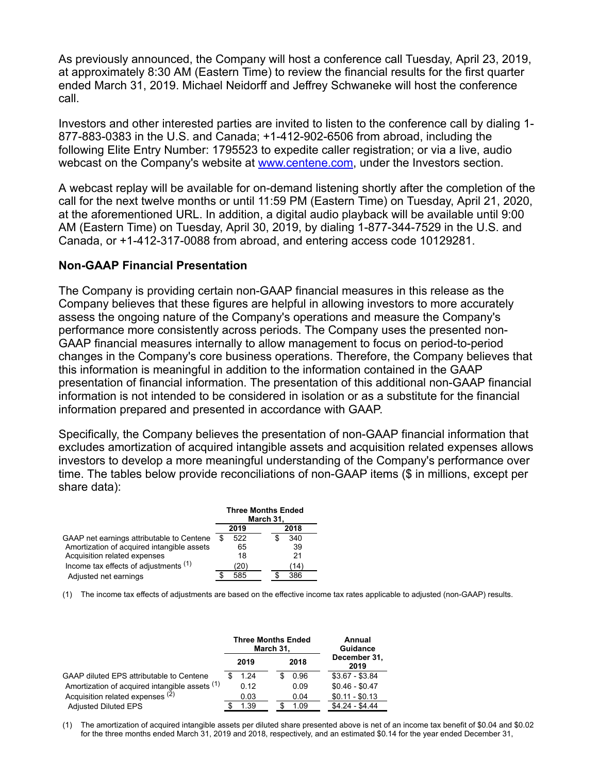As previously announced, the Company will host a conference call Tuesday, April 23, 2019, at approximately 8:30 AM (Eastern Time) to review the financial results for the first quarter ended March 31, 2019. Michael Neidorff and Jeffrey Schwaneke will host the conference call.

Investors and other interested parties are invited to listen to the conference call by dialing 1- 877-883-0383 in the U.S. and Canada; +1-412-902-6506 from abroad, including the following Elite Entry Number: 1795523 to expedite caller registration; or via a live, audio webcast on the Company's website at [www.centene.com,](http://www.centene.com/) under the Investors section.

A webcast replay will be available for on-demand listening shortly after the completion of the call for the next twelve months or until 11:59 PM (Eastern Time) on Tuesday, April 21, 2020, at the aforementioned URL. In addition, a digital audio playback will be available until 9:00 AM (Eastern Time) on Tuesday, April 30, 2019, by dialing 1-877-344-7529 in the U.S. and Canada, or +1-412-317-0088 from abroad, and entering access code 10129281.

### **Non-GAAP Financial Presentation**

The Company is providing certain non-GAAP financial measures in this release as the Company believes that these figures are helpful in allowing investors to more accurately assess the ongoing nature of the Company's operations and measure the Company's performance more consistently across periods. The Company uses the presented non-GAAP financial measures internally to allow management to focus on period-to-period changes in the Company's core business operations. Therefore, the Company believes that this information is meaningful in addition to the information contained in the GAAP presentation of financial information. The presentation of this additional non-GAAP financial information is not intended to be considered in isolation or as a substitute for the financial information prepared and presented in accordance with GAAP.

Specifically, the Company believes the presentation of non-GAAP financial information that excludes amortization of acquired intangible assets and acquisition related expenses allows investors to develop a more meaningful understanding of the Company's performance over time. The tables below provide reconciliations of non-GAAP items (\$ in millions, except per share data):

|                                            | <b>Three Months Ended</b><br>March 31, |      |  |      |
|--------------------------------------------|----------------------------------------|------|--|------|
|                                            |                                        | 2019 |  | 2018 |
| GAAP net earnings attributable to Centene  |                                        | 522  |  | 340  |
| Amortization of acquired intangible assets |                                        | 65   |  | 39   |
| Acquisition related expenses               |                                        | 18   |  | 21   |
| Income tax effects of adjustments (1)      |                                        | (20) |  | (14) |
| Adjusted net earnings                      |                                        | 585  |  | 386  |

(1) The income tax effects of adjustments are based on the effective income tax rates applicable to adjusted (non-GAAP) results.

|                                                |      | <b>Three Months Ended</b><br>March 31, | Annual<br><b>Guidance</b> |
|------------------------------------------------|------|----------------------------------------|---------------------------|
|                                                | 2019 | 2018                                   | December 31,<br>2019      |
| GAAP diluted EPS attributable to Centene       | 1 24 | 0.96                                   | $$3.67 - $3.84$           |
| Amortization of acquired intangible assets (1) | 0.12 | 0.09                                   | $$0.46 - $0.47$           |
| Acquisition related expenses (2)               | 0.03 | 0.04                                   | $$0.11 - $0.13$           |
| <b>Adjusted Diluted EPS</b>                    | 1.39 | 1.09                                   | $$4.24 - $4.44$           |

(1) The amortization of acquired intangible assets per diluted share presented above is net of an income tax benefit of \$0.04 and \$0.02 for the three months ended March 31, 2019 and 2018, respectively, and an estimated \$0.14 for the year ended December 31,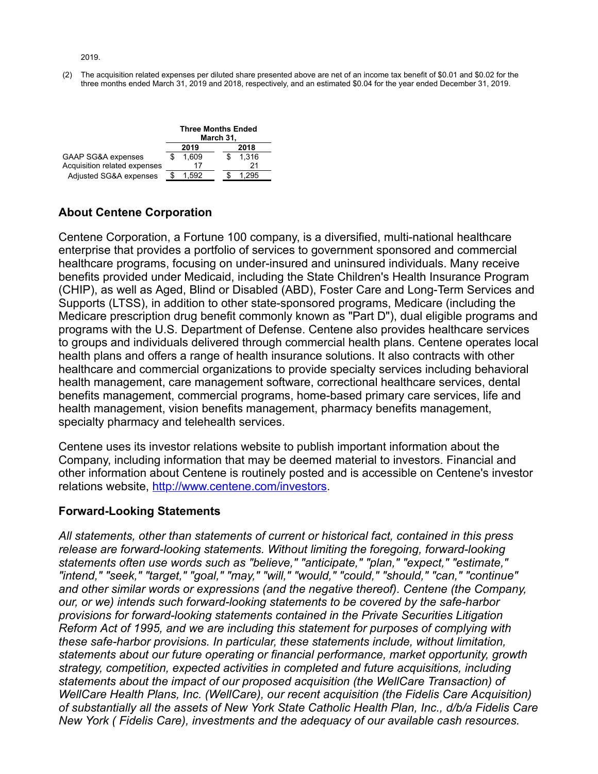2019.

(2) The acquisition related expenses per diluted share presented above are net of an income tax benefit of \$0.01 and \$0.02 for the three months ended March 31, 2019 and 2018, respectively, and an estimated \$0.04 for the year ended December 31, 2019.

|                              | <b>Three Months Ended</b><br>March 31, |       |  |       |
|------------------------------|----------------------------------------|-------|--|-------|
|                              |                                        | 2019  |  | 2018  |
| GAAP SG&A expenses           |                                        | 1.609 |  | 1.316 |
| Acquisition related expenses |                                        | 17    |  | 21    |
| Adjusted SG&A expenses       |                                        | 1.592 |  | 1.295 |

# **About Centene Corporation**

Centene Corporation, a Fortune 100 company, is a diversified, multi-national healthcare enterprise that provides a portfolio of services to government sponsored and commercial healthcare programs, focusing on under-insured and uninsured individuals. Many receive benefits provided under Medicaid, including the State Children's Health Insurance Program (CHIP), as well as Aged, Blind or Disabled (ABD), Foster Care and Long-Term Services and Supports (LTSS), in addition to other state-sponsored programs, Medicare (including the Medicare prescription drug benefit commonly known as "Part D"), dual eligible programs and programs with the U.S. Department of Defense. Centene also provides healthcare services to groups and individuals delivered through commercial health plans. Centene operates local health plans and offers a range of health insurance solutions. It also contracts with other healthcare and commercial organizations to provide specialty services including behavioral health management, care management software, correctional healthcare services, dental benefits management, commercial programs, home-based primary care services, life and health management, vision benefits management, pharmacy benefits management, specialty pharmacy and telehealth services.

Centene uses its investor relations website to publish important information about the Company, including information that may be deemed material to investors. Financial and other information about Centene is routinely posted and is accessible on Centene's investor relations website, <http://www.centene.com/investors>.

## **Forward-Looking Statements**

*All statements, other than statements of current or historical fact, contained in this press release are forward-looking statements. Without limiting the foregoing, forward-looking statements often use words such as "believe," "anticipate," "plan," "expect," "estimate," "intend," "seek," "target," "goal," "may," "will," "would," "could," "should," "can," "continue" and other similar words or expressions (and the negative thereof). Centene (the Company, our, or we) intends such forward-looking statements to be covered by the safe-harbor provisions for forward-looking statements contained in the Private Securities Litigation Reform Act of 1995, and we are including this statement for purposes of complying with these safe-harbor provisions. In particular, these statements include, without limitation, statements about our future operating or financial performance, market opportunity, growth strategy, competition, expected activities in completed and future acquisitions, including statements about the impact of our proposed acquisition (the WellCare Transaction) of WellCare Health Plans, Inc. (WellCare), our recent acquisition (the Fidelis Care Acquisition) of substantially all the assets of New York State Catholic Health Plan, Inc., d/b/a Fidelis Care New York ( Fidelis Care), investments and the adequacy of our available cash resources.*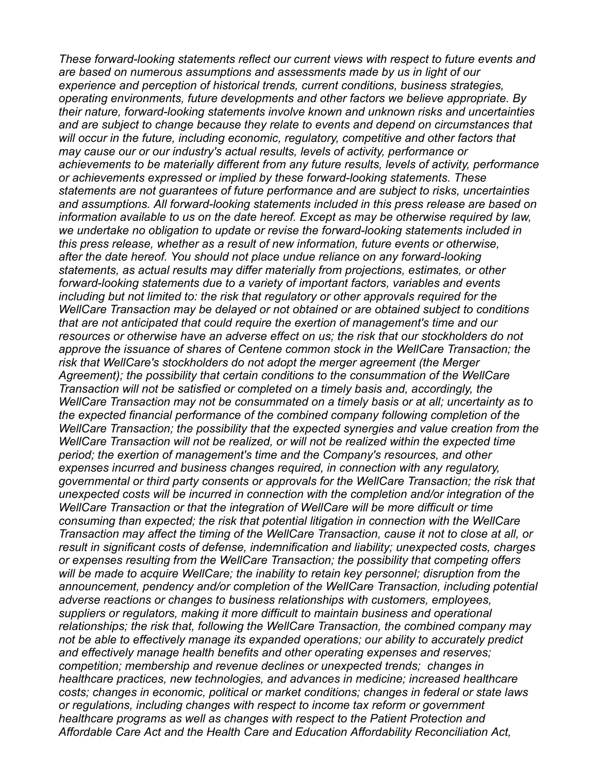*These forward-looking statements reflect our current views with respect to future events and are based on numerous assumptions and assessments made by us in light of our experience and perception of historical trends, current conditions, business strategies, operating environments, future developments and other factors we believe appropriate. By their nature, forward-looking statements involve known and unknown risks and uncertainties and are subject to change because they relate to events and depend on circumstances that will occur in the future, including economic, regulatory, competitive and other factors that may cause our or our industry's actual results, levels of activity, performance or achievements to be materially different from any future results, levels of activity, performance or achievements expressed or implied by these forward-looking statements. These statements are not guarantees of future performance and are subject to risks, uncertainties and assumptions. All forward-looking statements included in this press release are based on information available to us on the date hereof. Except as may be otherwise required by law, we undertake no obligation to update or revise the forward-looking statements included in this press release, whether as a result of new information, future events or otherwise, after the date hereof. You should not place undue reliance on any forward-looking statements, as actual results may differ materially from projections, estimates, or other forward-looking statements due to a variety of important factors, variables and events including but not limited to: the risk that regulatory or other approvals required for the WellCare Transaction may be delayed or not obtained or are obtained subject to conditions that are not anticipated that could require the exertion of management's time and our resources or otherwise have an adverse effect on us; the risk that our stockholders do not approve the issuance of shares of Centene common stock in the WellCare Transaction; the risk that WellCare's stockholders do not adopt the merger agreement (the Merger Agreement); the possibility that certain conditions to the consummation of the WellCare Transaction will not be satisfied or completed on a timely basis and, accordingly, the WellCare Transaction may not be consummated on a timely basis or at all; uncertainty as to the expected financial performance of the combined company following completion of the WellCare Transaction; the possibility that the expected synergies and value creation from the WellCare Transaction will not be realized, or will not be realized within the expected time period; the exertion of management's time and the Company's resources, and other expenses incurred and business changes required, in connection with any regulatory, governmental or third party consents or approvals for the WellCare Transaction; the risk that unexpected costs will be incurred in connection with the completion and/or integration of the WellCare Transaction or that the integration of WellCare will be more difficult or time consuming than expected; the risk that potential litigation in connection with the WellCare Transaction may affect the timing of the WellCare Transaction, cause it not to close at all, or result in significant costs of defense, indemnification and liability; unexpected costs, charges or expenses resulting from the WellCare Transaction; the possibility that competing offers will be made to acquire WellCare; the inability to retain key personnel; disruption from the announcement, pendency and/or completion of the WellCare Transaction, including potential adverse reactions or changes to business relationships with customers, employees, suppliers or regulators, making it more difficult to maintain business and operational relationships; the risk that, following the WellCare Transaction, the combined company may not be able to effectively manage its expanded operations; our ability to accurately predict and effectively manage health benefits and other operating expenses and reserves; competition; membership and revenue declines or unexpected trends; changes in healthcare practices, new technologies, and advances in medicine; increased healthcare costs; changes in economic, political or market conditions; changes in federal or state laws or regulations, including changes with respect to income tax reform or government healthcare programs as well as changes with respect to the Patient Protection and Affordable Care Act and the Health Care and Education Affordability Reconciliation Act,*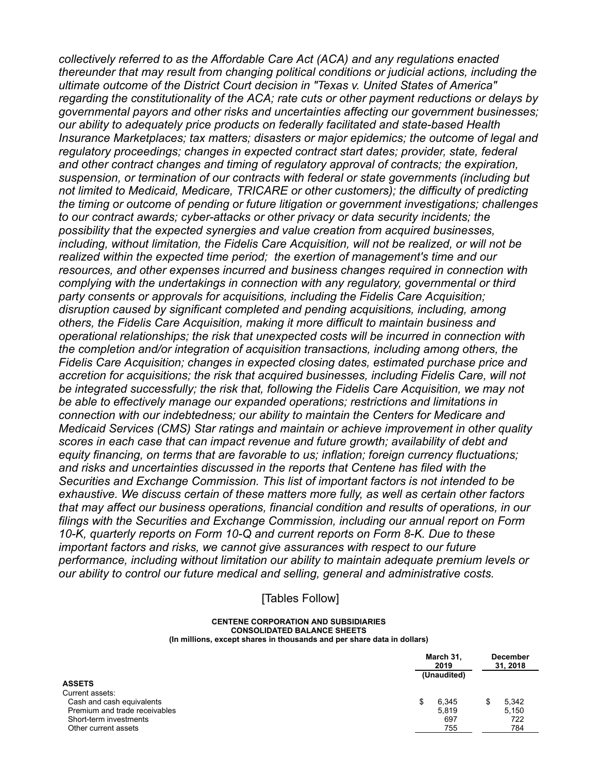*collectively referred to as the Affordable Care Act (ACA) and any regulations enacted thereunder that may result from changing political conditions or judicial actions, including the ultimate outcome of the District Court decision in "Texas v. United States of America" regarding the constitutionality of the ACA; rate cuts or other payment reductions or delays by governmental payors and other risks and uncertainties affecting our government businesses; our ability to adequately price products on federally facilitated and state-based Health Insurance Marketplaces; tax matters; disasters or major epidemics; the outcome of legal and regulatory proceedings; changes in expected contract start dates; provider, state, federal and other contract changes and timing of regulatory approval of contracts; the expiration, suspension, or termination of our contracts with federal or state governments (including but not limited to Medicaid, Medicare, TRICARE or other customers); the difficulty of predicting the timing or outcome of pending or future litigation or government investigations; challenges to our contract awards; cyber-attacks or other privacy or data security incidents; the possibility that the expected synergies and value creation from acquired businesses, including, without limitation, the Fidelis Care Acquisition, will not be realized, or will not be realized within the expected time period; the exertion of management's time and our resources, and other expenses incurred and business changes required in connection with complying with the undertakings in connection with any regulatory, governmental or third party consents or approvals for acquisitions, including the Fidelis Care Acquisition; disruption caused by significant completed and pending acquisitions, including, among others, the Fidelis Care Acquisition, making it more difficult to maintain business and operational relationships; the risk that unexpected costs will be incurred in connection with the completion and/or integration of acquisition transactions, including among others, the Fidelis Care Acquisition; changes in expected closing dates, estimated purchase price and accretion for acquisitions; the risk that acquired businesses, including Fidelis Care, will not be integrated successfully; the risk that, following the Fidelis Care Acquisition, we may not be able to effectively manage our expanded operations; restrictions and limitations in connection with our indebtedness; our ability to maintain the Centers for Medicare and Medicaid Services (CMS) Star ratings and maintain or achieve improvement in other quality scores in each case that can impact revenue and future growth; availability of debt and equity financing, on terms that are favorable to us; inflation; foreign currency fluctuations; and risks and uncertainties discussed in the reports that Centene has filed with the Securities and Exchange Commission. This list of important factors is not intended to be exhaustive. We discuss certain of these matters more fully, as well as certain other factors that may affect our business operations, financial condition and results of operations, in our filings with the Securities and Exchange Commission, including our annual report on Form 10-K, quarterly reports on Form 10-Q and current reports on Form 8-K. Due to these important factors and risks, we cannot give assurances with respect to our future performance, including without limitation our ability to maintain adequate premium levels or our ability to control our future medical and selling, general and administrative costs.*

#### [Tables Follow]

#### **CENTENE CORPORATION AND SUBSIDIARIES CONSOLIDATED BALANCE SHEETS (In millions, except shares in thousands and per share data in dollars)**

|                               | March 31,<br>2019 | <b>December</b><br>31, 2018 |  |
|-------------------------------|-------------------|-----------------------------|--|
|                               | (Unaudited)       |                             |  |
| <b>ASSETS</b>                 |                   |                             |  |
| Current assets:               |                   |                             |  |
| Cash and cash equivalents     | 6.345<br>S        | 5.342                       |  |
| Premium and trade receivables | 5.819             | 5,150                       |  |
| Short-term investments        | 697               | 722                         |  |
| Other current assets          | 755               | 784                         |  |
|                               |                   |                             |  |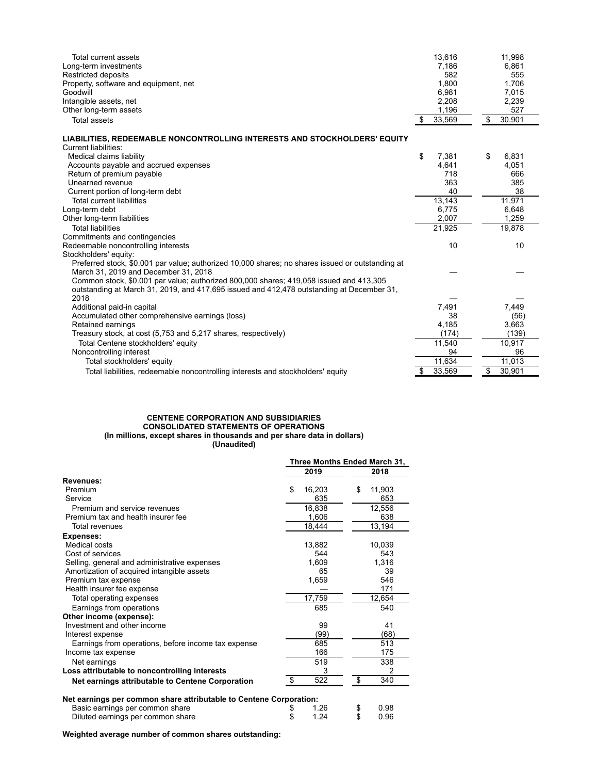| Total current assets                                                                                                                                                                | 13,616       | 11,998       |
|-------------------------------------------------------------------------------------------------------------------------------------------------------------------------------------|--------------|--------------|
| Long-term investments                                                                                                                                                               | 7.186        | 6,861        |
| <b>Restricted deposits</b>                                                                                                                                                          | 582          | 555          |
| Property, software and equipment, net                                                                                                                                               | 1,800        | 1,706        |
| Goodwill                                                                                                                                                                            | 6,981        | 7,015        |
| Intangible assets, net                                                                                                                                                              | 2,208        | 2,239        |
| Other long-term assets                                                                                                                                                              | 1,196        | 527          |
| <b>Total assets</b>                                                                                                                                                                 | 33,569       | \$<br>30.901 |
| LIABILITIES, REDEEMABLE NONCONTROLLING INTERESTS AND STOCKHOLDERS' EQUITY<br>Current liabilities:                                                                                   |              |              |
| Medical claims liability                                                                                                                                                            | \$<br>7,381  | \$<br>6,831  |
| Accounts payable and accrued expenses                                                                                                                                               | 4,641        | 4,051        |
| Return of premium payable                                                                                                                                                           | 718          | 666          |
| Unearned revenue                                                                                                                                                                    | 363          | 385          |
| Current portion of long-term debt                                                                                                                                                   | 40           | 38           |
| <b>Total current liabilities</b>                                                                                                                                                    | 13,143       | 11,971       |
| Long-term debt                                                                                                                                                                      | 6.775        | 6,648        |
| Other long-term liabilities                                                                                                                                                         | 2,007        | 1,259        |
| <b>Total liabilities</b>                                                                                                                                                            | 21,925       | 19,878       |
| Commitments and contingencies                                                                                                                                                       |              |              |
| Redeemable noncontrolling interests                                                                                                                                                 | 10           | 10           |
| Stockholders' equity:                                                                                                                                                               |              |              |
| Preferred stock, \$0.001 par value; authorized 10,000 shares; no shares issued or outstanding at                                                                                    |              |              |
| March 31, 2019 and December 31, 2018                                                                                                                                                |              |              |
| Common stock, \$0.001 par value; authorized 800,000 shares; 419,058 issued and 413,305<br>outstanding at March 31, 2019, and 417,695 issued and 412,478 outstanding at December 31, |              |              |
| 2018                                                                                                                                                                                |              |              |
| Additional paid-in capital                                                                                                                                                          | 7,491        | 7,449        |
| Accumulated other comprehensive earnings (loss)                                                                                                                                     | 38           | (56)         |
| Retained earnings                                                                                                                                                                   | 4,185        | 3,663        |
| Treasury stock, at cost (5,753 and 5,217 shares, respectively)                                                                                                                      | (174)        | (139)        |
| Total Centene stockholders' equity                                                                                                                                                  | 11,540       | 10,917       |
| Noncontrolling interest                                                                                                                                                             | 94           | 96           |
| Total stockholders' equity                                                                                                                                                          | 11,634       | 11.013       |
| Total liabilities, redeemable noncontrolling interests and stockholders' equity                                                                                                     | \$<br>33,569 | \$<br>30,901 |

#### **CENTENE CORPORATION AND SUBSIDIARIES CONSOLIDATED STATEMENTS OF OPERATIONS (In millions, except shares in thousands and per share data in dollars) (Unaudited)**

|                                                                    | Three Months Ended March 31, |              |  |
|--------------------------------------------------------------------|------------------------------|--------------|--|
|                                                                    | 2019                         | 2018         |  |
| Revenues:                                                          |                              |              |  |
| Premium                                                            | \$<br>16,203                 | \$<br>11,903 |  |
| Service                                                            | 635                          | 653          |  |
| Premium and service revenues                                       | 16,838                       | 12,556       |  |
| Premium tax and health insurer fee                                 | 1,606                        | 638          |  |
| <b>Total revenues</b>                                              | 18,444                       | 13,194       |  |
| <b>Expenses:</b>                                                   |                              |              |  |
| Medical costs                                                      | 13,882                       | 10,039       |  |
| Cost of services                                                   | 544                          | 543          |  |
| Selling, general and administrative expenses                       | 1,609                        | 1,316        |  |
| Amortization of acquired intangible assets                         | 65                           | 39           |  |
| Premium tax expense                                                | 1,659                        | 546          |  |
| Health insurer fee expense                                         |                              | 171          |  |
| Total operating expenses                                           | 17,759                       | 12,654       |  |
| Earnings from operations                                           | 685                          | 540          |  |
| Other income (expense):                                            |                              |              |  |
| Investment and other income                                        | 99                           | 41           |  |
| Interest expense                                                   | (99)                         | (68)         |  |
| Earnings from operations, before income tax expense                | 685                          | 513          |  |
| Income tax expense                                                 | 166                          | 175          |  |
| Net earnings                                                       | 519                          | 338          |  |
| Loss attributable to noncontrolling interests                      | 3                            | 2            |  |
| Net earnings attributable to Centene Corporation                   | 522<br>\$                    | \$<br>340    |  |
| Net earnings per common share attributable to Centene Corporation: |                              |              |  |
| Basic earnings per common share                                    | 1.26<br>\$                   | \$<br>0.98   |  |

Diluted earnings per common share **\$ 1.24** \$ 0.96

**Weighted average number of common shares outstanding:**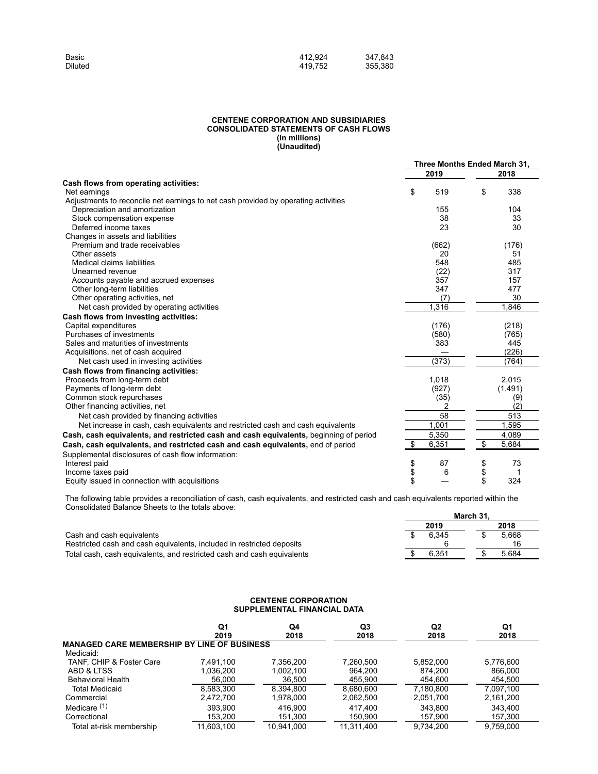| Basic   | 412.924 | 347.843 |
|---------|---------|---------|
| Diluted | 419.752 | 355,380 |

#### **CENTENE CORPORATION AND SUBSIDIARIES CONSOLIDATED STATEMENTS OF CASH FLOWS (In millions) (Unaudited)**

|                                                                                       | Three Months Ended March 31, |       |    |          |
|---------------------------------------------------------------------------------------|------------------------------|-------|----|----------|
|                                                                                       |                              | 2019  |    | 2018     |
| Cash flows from operating activities:                                                 |                              |       |    |          |
| Net earnings                                                                          | \$                           | 519   | \$ | 338      |
| Adjustments to reconcile net earnings to net cash provided by operating activities    |                              |       |    |          |
| Depreciation and amortization                                                         |                              | 155   |    | 104      |
| Stock compensation expense                                                            |                              | 38    |    | 33       |
| Deferred income taxes                                                                 |                              | 23    |    | 30       |
| Changes in assets and liabilities                                                     |                              |       |    |          |
| Premium and trade receivables                                                         |                              | (662) |    | (176)    |
| Other assets                                                                          |                              | 20    |    | 51       |
| Medical claims liabilities                                                            |                              | 548   |    | 485      |
| Unearned revenue                                                                      |                              | (22)  |    | 317      |
| Accounts payable and accrued expenses                                                 |                              | 357   |    | 157      |
| Other long-term liabilities                                                           |                              | 347   |    | 477      |
| Other operating activities, net                                                       |                              | (7)   |    | 30       |
| Net cash provided by operating activities                                             |                              | 1,316 |    | 1,846    |
| Cash flows from investing activities:                                                 |                              |       |    |          |
| Capital expenditures                                                                  |                              | (176) |    | (218)    |
| Purchases of investments                                                              |                              | (580) |    | (765)    |
| Sales and maturities of investments                                                   |                              | 383   |    | 445      |
| Acquisitions, net of cash acquired                                                    |                              |       |    | (226)    |
| Net cash used in investing activities                                                 |                              | (373) |    | (764)    |
| Cash flows from financing activities:                                                 |                              |       |    |          |
| Proceeds from long-term debt                                                          |                              | 1,018 |    | 2,015    |
| Payments of long-term debt                                                            |                              | (927) |    | (1, 491) |
| Common stock repurchases                                                              |                              | (35)  |    | (9)      |
| Other financing activities, net                                                       |                              | 2     |    | (2)      |
| Net cash provided by financing activities                                             |                              | 58    |    | 513      |
| Net increase in cash, cash equivalents and restricted cash and cash equivalents       |                              | 1,001 |    | 1,595    |
| Cash, cash equivalents, and restricted cash and cash equivalents, beginning of period |                              | 5,350 |    | 4,089    |
| Cash, cash equivalents, and restricted cash and cash equivalents, end of period       | \$                           | 6,351 | \$ | 5,684    |
| Supplemental disclosures of cash flow information:                                    |                              |       |    |          |
| Interest paid                                                                         | \$                           | 87    | \$ | 73       |
| Income taxes paid                                                                     | \$                           | 6     | \$ |          |
| Equity issued in connection with acquisitions                                         | \$                           |       | \$ | 324      |

The following table provides a reconciliation of cash, cash equivalents, and restricted cash and cash equivalents reported within the Consolidated Balance Sheets to the totals above: **March 31,**

|                                                                        | March 31. |       |  |  |
|------------------------------------------------------------------------|-----------|-------|--|--|
|                                                                        | 2019      | 2018  |  |  |
| Cash and cash equivalents                                              | 6.345     | 5.668 |  |  |
| Restricted cash and cash equivalents, included in restricted deposits  |           | 16    |  |  |
| Total cash, cash equivalents, and restricted cash and cash equivalents | 6.351     | 5.684 |  |  |

#### **CENTENE CORPORATION SUPPLEMENTAL FINANCIAL DATA**

|                                                    | Q1<br>2019 | Q4<br>2018 | Q3<br>2018 | Q <sub>2</sub><br>2018 | Q1<br>2018 |
|----------------------------------------------------|------------|------------|------------|------------------------|------------|
| <b>MANAGED CARE MEMBERSHIP BY LINE OF BUSINESS</b> |            |            |            |                        |            |
|                                                    |            |            |            |                        |            |
| Medicaid:                                          |            |            |            |                        |            |
| TANF, CHIP & Foster Care                           | 7.491.100  | 7.356.200  | 7.260.500  | 5.852.000              | 5,776,600  |
| ABD & LTSS                                         | 1.036.200  | 1.002.100  | 964.200    | 874.200                | 866.000    |
| <b>Behavioral Health</b>                           | 56.000     | 36.500     | 455.900    | 454,600                | 454,500    |
| Total Medicaid                                     | 8.583.300  | 8.394.800  | 8.680.600  | 7.180.800              | 7.097.100  |
| Commercial                                         | 2,472,700  | 1,978,000  | 2,062,500  | 2,051,700              | 2,161,200  |
| Medicare <sup>(1)</sup>                            | 393.900    | 416.900    | 417.400    | 343,800                | 343.400    |
| Correctional                                       | 153.200    | 151,300    | 150.900    | 157,900                | 157,300    |
| Total at-risk membership                           | 11,603,100 | 10,941,000 | 11,311,400 | 9,734,200              | 9,759,000  |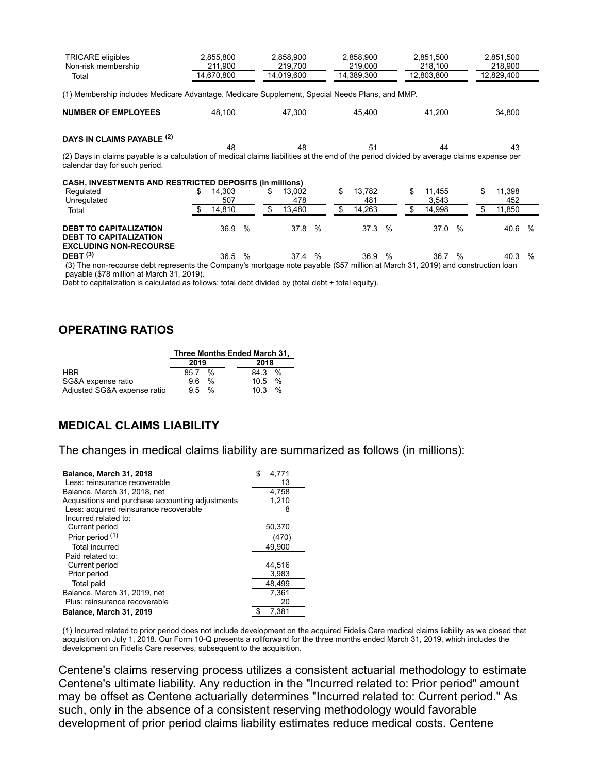| <b>TRICARE eligibles</b><br>Non-risk membership<br>Total                                                                                                                  |               | 2,855,800<br>211.900<br>14,670,800 |      | 2,858,900<br>219,700<br>14,019,600 |               |                                                                                                                       | 2,858,900<br>219,000<br>14,389,300 |               | 2,851,500<br>218,100<br>12,803,800 |      | 2,851,500<br>218,900<br>12,829,400 |               |
|---------------------------------------------------------------------------------------------------------------------------------------------------------------------------|---------------|------------------------------------|------|------------------------------------|---------------|-----------------------------------------------------------------------------------------------------------------------|------------------------------------|---------------|------------------------------------|------|------------------------------------|---------------|
| (1) Membership includes Medicare Advantage, Medicare Supplement, Special Needs Plans, and MMP.                                                                            |               |                                    |      |                                    |               |                                                                                                                       |                                    |               |                                    |      |                                    |               |
| <b>NUMBER OF EMPLOYEES</b>                                                                                                                                                |               | 48,100                             |      | 47,300                             |               |                                                                                                                       | 45,400                             |               | 41,200                             |      | 34,800                             |               |
| DAYS IN CLAIMS PAYABLE (2)                                                                                                                                                |               | 48                                 |      | 48                                 |               |                                                                                                                       | 51                                 |               | 44                                 |      | 43                                 |               |
| (2) Days in claims payable is a calculation of medical claims liabilities at the end of the period divided by average claims expense per<br>calendar day for such period. |               |                                    |      |                                    |               |                                                                                                                       |                                    |               |                                    |      |                                    |               |
| <b>CASH, INVESTMENTS AND RESTRICTED DEPOSITS (in millions)</b>                                                                                                            |               |                                    |      |                                    |               |                                                                                                                       |                                    |               |                                    |      |                                    |               |
| Regulated<br>Unregulated                                                                                                                                                  | \$            | 14,303<br>507                      |      | \$<br>13,002<br>478                |               | \$                                                                                                                    | 13,782<br>481                      |               | \$<br>11.455<br>3,543              |      | \$<br>11,398<br>452                |               |
| Total                                                                                                                                                                     | \$            | 14,810                             |      | \$<br>13,480                       |               | \$                                                                                                                    | 14,263                             |               | \$<br>14,998                       |      | \$<br>11,850                       |               |
| <b>DEBT TO CAPITALIZATION</b><br><b>DEBT TO CAPITALIZATION</b><br><b>EXCLUDING NON-RECOURSE</b>                                                                           |               | 36.9                               | $\%$ | 37.8                               | $\frac{0}{0}$ |                                                                                                                       | 37.3                               | $\frac{0}{0}$ | 37.0                               | $\%$ | 40.6                               | $\%$          |
| DEF <sup>(3)</sup><br>$\cdot$ $\cdot$ $\cdot$                                                                                                                             | $\sim$ $\sim$ | 36.5                               | $\%$ | 37.4                               | $\%$          | $\mathbf{r}$ , $\mathbf{r}$ , $\mathbf{r}$ , $\mathbf{r}$ , $\mathbf{r}$ , $\mathbf{r}$ , $\mathbf{r}$ , $\mathbf{r}$ | 36.9                               | $\%$          | 36.7 %<br>$\overline{a}$           |      | 40.3                               | $\frac{0}{0}$ |

(3) The non-recourse debt represents the Company's mortgage note payable (\$57 million at March 31, 2019) and construction loan payable (\$78 million at March 31, 2019).

Debt to capitalization is calculated as follows: total debt divided by (total debt + total equity).

## **OPERATING RATIOS**

|                             | Three Months Ended March 31, |               |                       |  |  |  |  |
|-----------------------------|------------------------------|---------------|-----------------------|--|--|--|--|
|                             | 2019                         |               | 2018                  |  |  |  |  |
| HBR.                        | 857                          | $\frac{0}{6}$ | %<br>84 3             |  |  |  |  |
| SG&A expense ratio          | 96                           | %             | %<br>10.5             |  |  |  |  |
| Adjusted SG&A expense ratio | 9.5                          | %             | $\frac{0}{6}$<br>10.3 |  |  |  |  |

## **MEDICAL CLAIMS LIABILITY**

The changes in medical claims liability are summarized as follows (in millions):

| Balance, March 31, 2018                          | 4,771  |
|--------------------------------------------------|--------|
| Less: reinsurance recoverable                    | 13     |
| Balance, March 31, 2018, net                     | 4,758  |
| Acquisitions and purchase accounting adjustments | 1.210  |
| Less: acquired reinsurance recoverable           | 8      |
| Incurred related to:                             |        |
| Current period                                   | 50,370 |
| Prior period (1)                                 | (470)  |
| Total incurred                                   | 49,900 |
| Paid related to:                                 |        |
| Current period                                   | 44.516 |
| Prior period                                     | 3,983  |
| Total paid                                       | 48,499 |
| Balance, March 31, 2019, net                     | 7.361  |
| Plus: reinsurance recoverable                    | 20     |
| <b>Balance, March 31, 2019</b>                   | 7,381  |

(1) Incurred related to prior period does not include development on the acquired Fidelis Care medical claims liability as we closed that acquisition on July 1, 2018. Our Form 10-Q presents a rollforward for the three months ended March 31, 2019, which includes the development on Fidelis Care reserves, subsequent to the acquisition.

Centene's claims reserving process utilizes a consistent actuarial methodology to estimate Centene's ultimate liability. Any reduction in the "Incurred related to: Prior period" amount may be offset as Centene actuarially determines "Incurred related to: Current period." As such, only in the absence of a consistent reserving methodology would favorable development of prior period claims liability estimates reduce medical costs. Centene